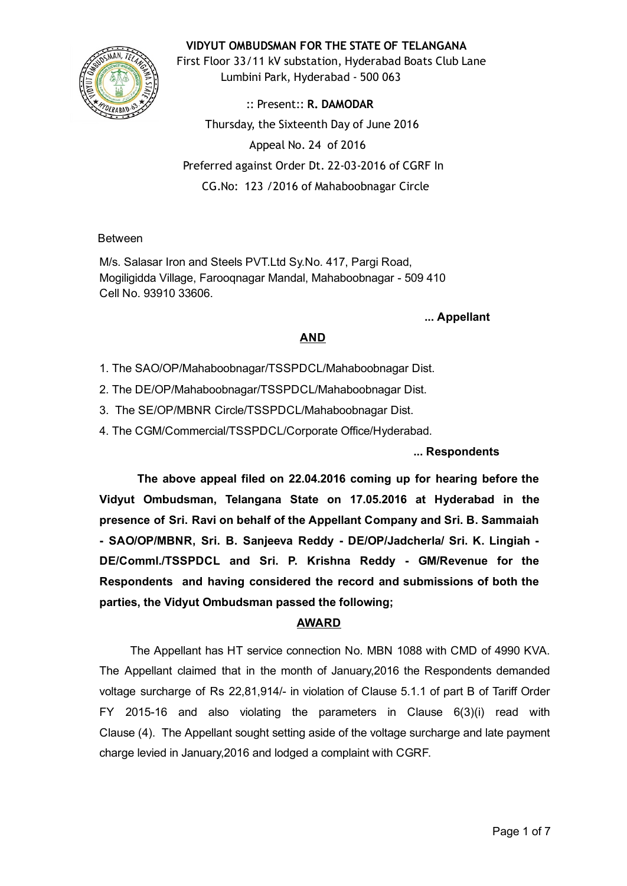# VIDYUT OMBUDSMAN FOR THE STATE OF TELANGANA



First Floor 33/11 kV substation, Hyderabad Boats Club Lane Lumbini Park, Hyderabad ‐ 500 063

:: Present:: R. DAMODAR Thursday, the Sixteenth Day of June 2016 Appeal No. 24 of 2016 Preferred against Order Dt. 22‐03‐2016 of CGRF In CG.No: 123 /2016 of Mahaboobnagar Circle

#### Between

M/s. Salasar Iron and Steels PVT.Ltd Sy.No. 417, Pargi Road, Mogiligidda Village, Farooqnagar Mandal, Mahaboobnagar - 509 410 Cell No. 93910 33606.

#### ... Appellant

## AND

- 1. The SAO/OP/Mahaboobnagar/TSSPDCL/Mahaboobnagar Dist.
- 2. The DE/OP/Mahaboobnagar/TSSPDCL/Mahaboobnagar Dist.
- 3. The SE/OP/MBNR Circle/TSSPDCL/Mahaboobnagar Dist.
- 4. The CGM/Commercial/TSSPDCL/Corporate Office/Hyderabad.

## ... Respondents

The above appeal filed on 22.04.2016 coming up for hearing before the Vidyut Ombudsman, Telangana State on 17.05.2016 at Hyderabad in the presence of Sri. Ravi on behalf of the Appellant Company and Sri. B. Sammaiah - SAO/OP/MBNR, Sri. B. Sanjeeva Reddy - DE/OP/Jadcherla/ Sri. K. Lingiah -DE/Comml./TSSPDCL and Sri. P. Krishna Reddy - GM/Revenue for the Respondents and having considered the record and submissions of both the parties, the Vidyut Ombudsman passed the following;

## AWARD

The Appellant has HT service connection No. MBN 1088 with CMD of 4990 KVA. The Appellant claimed that in the month of January,2016 the Respondents demanded voltage surcharge of Rs 22,81,914/ in violation of Clause 5.1.1 of part B of Tariff Order FY 2015-16 and also violating the parameters in Clause  $6(3)(i)$  read with Clause (4). The Appellant sought setting aside of the voltage surcharge and late payment charge levied in January,2016 and lodged a complaint with CGRF.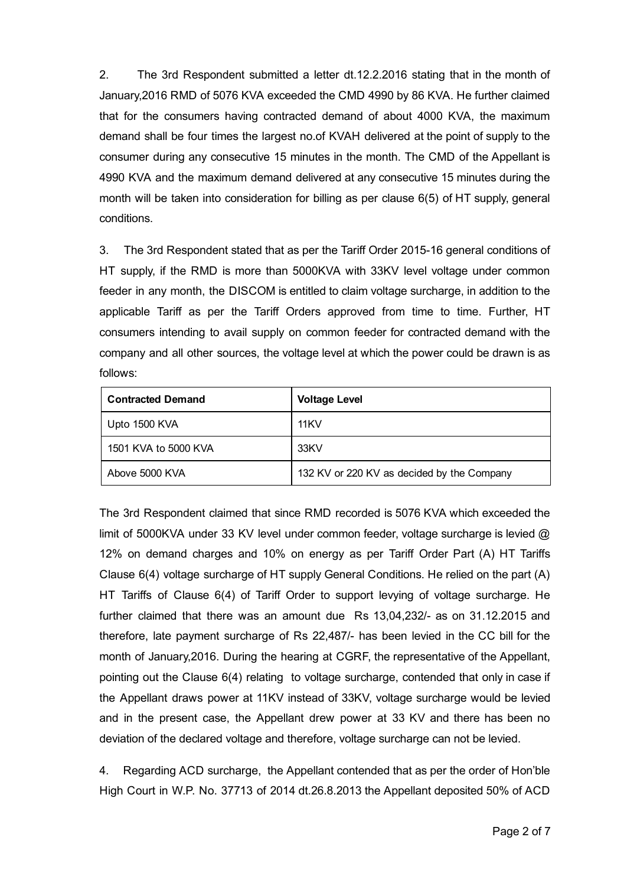2. The 3rd Respondent submitted a letter dt.12.2.2016 stating that in the month of January,2016 RMD of 5076 KVA exceeded the CMD 4990 by 86 KVA. He further claimed that for the consumers having contracted demand of about 4000 KVA, the maximum demand shall be four times the largest no.of KVAH delivered at the point of supply to the consumer during any consecutive 15 minutes in the month. The CMD of the Appellant is 4990 KVA and the maximum demand delivered at any consecutive 15 minutes during the month will be taken into consideration for billing as per clause 6(5) of HT supply, general conditions.

3. The 3rd Respondent stated that as per the Tariff Order 2015-16 general conditions of HT supply, if the RMD is more than 5000KVA with 33KV level voltage under common feeder in any month, the DISCOM is entitled to claim voltage surcharge, in addition to the applicable Tariff as per the Tariff Orders approved from time to time. Further, HT consumers intending to avail supply on common feeder for contracted demand with the company and all other sources, the voltage level at which the power could be drawn is as follows:

| <b>Contracted Demand</b> | <b>Voltage Level</b>                       |  |
|--------------------------|--------------------------------------------|--|
| Upto 1500 KVA            | 11KV                                       |  |
| 1501 KVA to 5000 KVA     | 33KV                                       |  |
| Above 5000 KVA           | 132 KV or 220 KV as decided by the Company |  |

The 3rd Respondent claimed that since RMD recorded is 5076 KVA which exceeded the limit of 5000KVA under 33 KV level under common feeder, voltage surcharge is levied @ 12% on demand charges and 10% on energy as per Tariff Order Part (A) HT Tariffs Clause 6(4) voltage surcharge of HT supply General Conditions. He relied on the part (A) HT Tariffs of Clause 6(4) of Tariff Order to support levying of voltage surcharge. He further claimed that there was an amount due Rs 13,04,232/- as on 31.12.2015 and therefore, late payment surcharge of Rs 22,487/ has been levied in the CC bill for the month of January,2016. During the hearing at CGRF, the representative of the Appellant, pointing out the Clause 6(4) relating to voltage surcharge, contended that only in case if the Appellant draws power at 11KV instead of 33KV, voltage surcharge would be levied and in the present case, the Appellant drew power at 33 KV and there has been no deviation of the declared voltage and therefore, voltage surcharge can not be levied.

4. Regarding ACD surcharge, the Appellant contended that as per the order of Hon'ble High Court in W.P. No. 37713 of 2014 dt.26.8.2013 the Appellant deposited 50% of ACD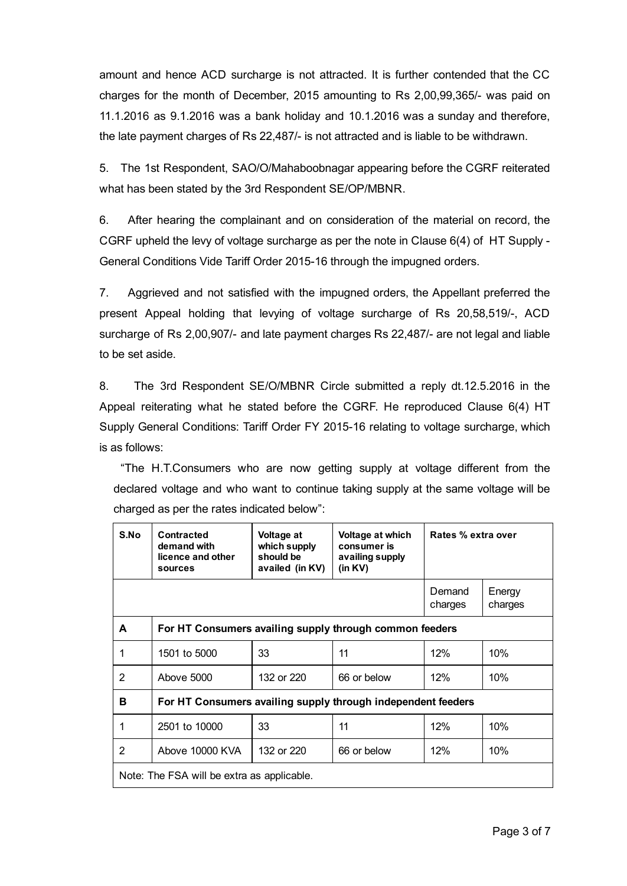amount and hence ACD surcharge is not attracted. It is further contended that the CC charges for the month of December, 2015 amounting to Rs 2,00,99,365/ was paid on 11.1.2016 as 9.1.2016 was a bank holiday and 10.1.2016 was a sunday and therefore, the late payment charges of Rs 22,487/ is not attracted and is liable to be withdrawn.

5. The 1st Respondent, SAO/O/Mahaboobnagar appearing before the CGRF reiterated what has been stated by the 3rd Respondent SE/OP/MBNR.

6. After hearing the complainant and on consideration of the material on record, the CGRF upheld the levy of voltage surcharge as per the note in Clause 6(4) of HT Supply General Conditions Vide Tariff Order 2015-16 through the impugned orders.

7. Aggrieved and not satisfied with the impugned orders, the Appellant preferred the present Appeal holding that levying of voltage surcharge of Rs 20,58,519/, ACD surcharge of Rs 2,00,907/ and late payment charges Rs 22,487/ are not legal and liable to be set aside.

8. The 3rd Respondent SE/O/MBNR Circle submitted a reply dt.12.5.2016 in the Appeal reiterating what he stated before the CGRF. He reproduced Clause 6(4) HT Supply General Conditions: Tariff Order FY 2015-16 relating to voltage surcharge, which is as follows:

"The H.T.Consumers who are now getting supply at voltage different from the declared voltage and who want to continue taking supply at the same voltage will be charged as per the rates indicated below":

| S.No                                       | Contracted<br>demand with<br>licence and other<br>sources    | Voltage at<br>which supply<br>should be<br>availed (in KV) | Voltage at which<br>consumer is<br>availing supply<br>(in KV) | Rates % extra over |                   |  |  |
|--------------------------------------------|--------------------------------------------------------------|------------------------------------------------------------|---------------------------------------------------------------|--------------------|-------------------|--|--|
|                                            |                                                              |                                                            |                                                               | Demand<br>charges  | Energy<br>charges |  |  |
| A                                          | For HT Consumers availing supply through common feeders      |                                                            |                                                               |                    |                   |  |  |
| 1                                          | 1501 to 5000                                                 | 33                                                         | 11                                                            | 12%                | 10%               |  |  |
| 2                                          | Above 5000                                                   | 132 or 220                                                 | 66 or below                                                   | 12%                | 10%               |  |  |
| в                                          | For HT Consumers availing supply through independent feeders |                                                            |                                                               |                    |                   |  |  |
| 1                                          | 2501 to 10000                                                | 33                                                         | 11                                                            | 12%                | 10%               |  |  |
| $\overline{2}$                             | Above 10000 KVA                                              | 132 or 220                                                 | 66 or below                                                   | 12%                | 10%               |  |  |
| Note: The FSA will be extra as applicable. |                                                              |                                                            |                                                               |                    |                   |  |  |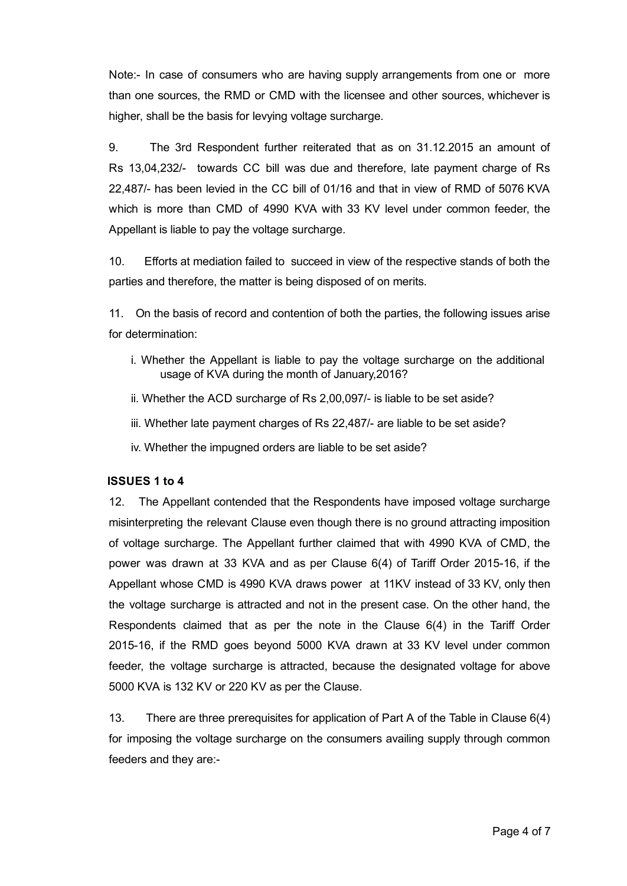Note: In case of consumers who are having supply arrangements from one or more than one sources, the RMD or CMD with the licensee and other sources, whichever is higher, shall be the basis for levying voltage surcharge.

9. The 3rd Respondent further reiterated that as on 31.12.2015 an amount of Rs 13,04,232/ towards CC bill was due and therefore, late payment charge of Rs 22,487/ has been levied in the CC bill of 01/16 and that in view of RMD of 5076 KVA which is more than CMD of 4990 KVA with 33 KV level under common feeder, the Appellant is liable to pay the voltage surcharge.

10. Efforts at mediation failed to succeed in view of the respective stands of both the parties and therefore, the matter is being disposed of on merits.

11. On the basis of record and contention of both the parties, the following issues arise for determination:

- i. Whether the Appellant is liable to pay the voltage surcharge on the additional usage of KVA during the month of January,2016?
- ii. Whether the ACD surcharge of Rs 2,00,097/ is liable to be set aside?
- iii. Whether late payment charges of Rs 22,487/- are liable to be set aside?
- iv. Whether the impugned orders are liable to be set aside?

## ISSUES 1 to 4

12. The Appellant contended that the Respondents have imposed voltage surcharge misinterpreting the relevant Clause even though there is no ground attracting imposition of voltage surcharge. The Appellant further claimed that with 4990 KVA of CMD, the power was drawn at 33 KVA and as per Clause  $6(4)$  of Tariff Order 2015-16, if the Appellant whose CMD is 4990 KVA draws power at 11KV instead of 33 KV, only then the voltage surcharge is attracted and not in the present case. On the other hand, the Respondents claimed that as per the note in the Clause 6(4) in the Tariff Order 2015-16, if the RMD goes beyond 5000 KVA drawn at 33 KV level under common feeder, the voltage surcharge is attracted, because the designated voltage for above 5000 KVA is 132 KV or 220 KV as per the Clause.

13. There are three prerequisites for application of Part A of the Table in Clause 6(4) for imposing the voltage surcharge on the consumers availing supply through common feeders and they are: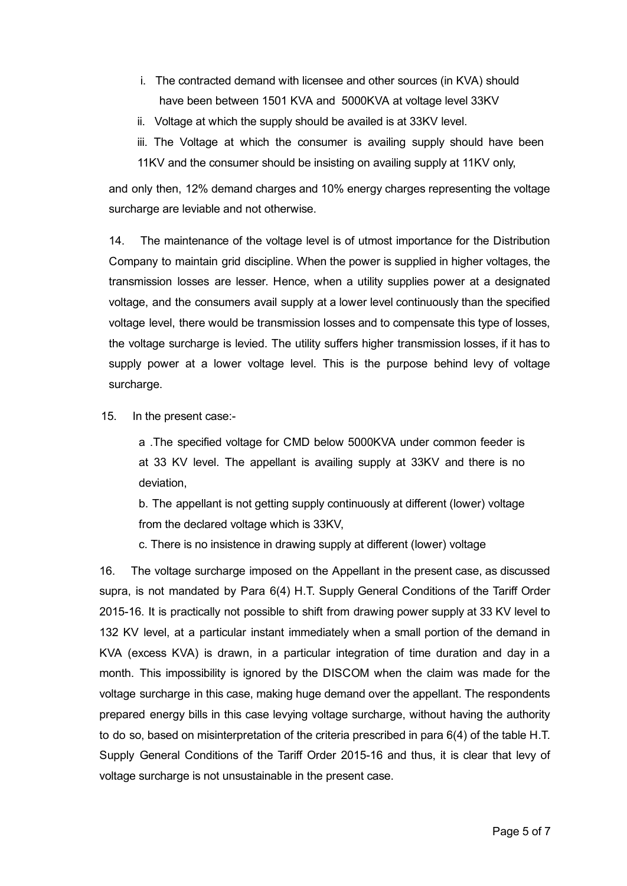- i. The contracted demand with licensee and other sources (in KVA) should have been between 1501 KVA and 5000KVA at voltage level 33KV
- ii. Voltage at which the supply should be availed is at 33KV level.
- iii. The Voltage at which the consumer is availing supply should have been 11KV and the consumer should be insisting on availing supply at 11KV only,

and only then, 12% demand charges and 10% energy charges representing the voltage surcharge are leviable and not otherwise.

14. The maintenance of the voltage level is of utmost importance for the Distribution Company to maintain grid discipline. When the power is supplied in higher voltages, the transmission losses are lesser. Hence, when a utility supplies power at a designated voltage, and the consumers avail supply at a lower level continuously than the specified voltage level, there would be transmission losses and to compensate this type of losses, the voltage surcharge is levied. The utility suffers higher transmission losses, if it has to supply power at a lower voltage level. This is the purpose behind levy of voltage surcharge.

15. In the present case:

a .The specified voltage for CMD below 5000KVA under common feeder is at 33 KV level. The appellant is availing supply at 33KV and there is no deviation,

b. The appellant is not getting supply continuously at different (lower) voltage from the declared voltage which is 33KV,

c. There is no insistence in drawing supply at different (lower) voltage

16. The voltage surcharge imposed on the Appellant in the present case, as discussed supra, is not mandated by Para 6(4) H.T. Supply General Conditions of the Tariff Order 2015-16. It is practically not possible to shift from drawing power supply at 33 KV level to 132 KV level, at a particular instant immediately when a small portion of the demand in KVA (excess KVA) is drawn, in a particular integration of time duration and day in a month. This impossibility is ignored by the DISCOM when the claim was made for the voltage surcharge in this case, making huge demand over the appellant. The respondents prepared energy bills in this case levying voltage surcharge, without having the authority to do so, based on misinterpretation of the criteria prescribed in para 6(4) of the table H.T. Supply General Conditions of the Tariff Order 2015-16 and thus, it is clear that levy of voltage surcharge is not unsustainable in the present case.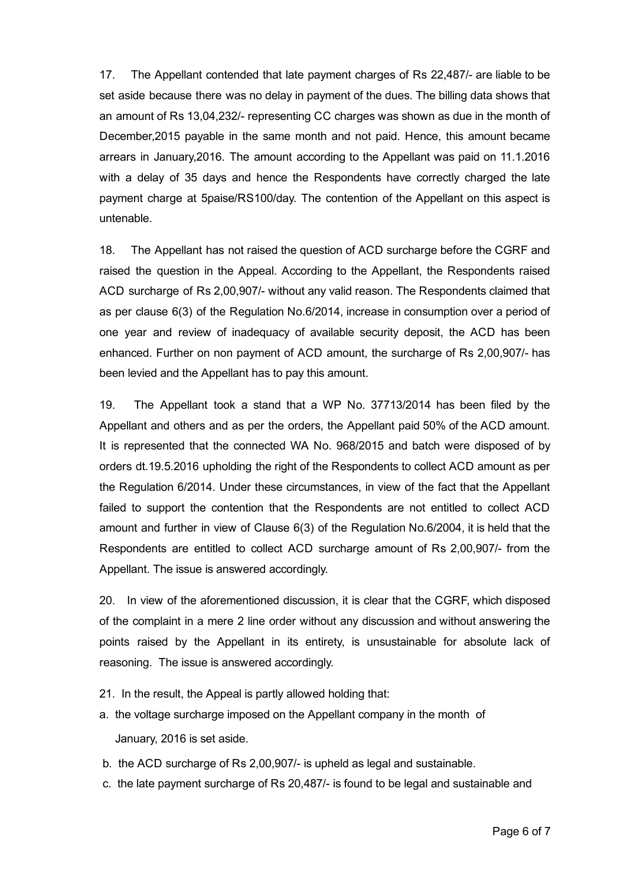17. The Appellant contended that late payment charges of Rs 22,487/ are liable to be set aside because there was no delay in payment of the dues. The billing data shows that an amount of Rs 13,04,232/ representing CC charges was shown as due in the month of December,2015 payable in the same month and not paid. Hence, this amount became arrears in January,2016. The amount according to the Appellant was paid on 11.1.2016 with a delay of 35 days and hence the Respondents have correctly charged the late payment charge at 5paise/RS100/day. The contention of the Appellant on this aspect is untenable.

18. The Appellant has not raised the question of ACD surcharge before the CGRF and raised the question in the Appeal. According to the Appellant, the Respondents raised ACD surcharge of Rs 2,00,907/ without any valid reason. The Respondents claimed that as per clause 6(3) of the Regulation No.6/2014, increase in consumption over a period of one year and review of inadequacy of available security deposit, the ACD has been enhanced. Further on non payment of ACD amount, the surcharge of Rs 2,00,907/- has been levied and the Appellant has to pay this amount.

19. The Appellant took a stand that a WP No. 37713/2014 has been filed by the Appellant and others and as per the orders, the Appellant paid 50% of the ACD amount. It is represented that the connected WA No. 968/2015 and batch were disposed of by orders dt.19.5.2016 upholding the right of the Respondents to collect ACD amount as per the Regulation 6/2014. Under these circumstances, in view of the fact that the Appellant failed to support the contention that the Respondents are not entitled to collect ACD amount and further in view of Clause 6(3) of the Regulation No.6/2004, it is held that the Respondents are entitled to collect ACD surcharge amount of Rs 2,00,907/ from the Appellant. The issue is answered accordingly.

20. In view of the aforementioned discussion, it is clear that the CGRF, which disposed of the complaint in a mere 2 line order without any discussion and without answering the points raised by the Appellant in its entirety, is unsustainable for absolute lack of reasoning. The issue is answered accordingly.

- 21. In the result, the Appeal is partly allowed holding that:
- a. the voltage surcharge imposed on the Appellant company in the month of January, 2016 is set aside.
- b. the ACD surcharge of Rs 2,00,907/ is upheld as legal and sustainable.
- c. the late payment surcharge of Rs 20,487/ is found to be legal and sustainable and